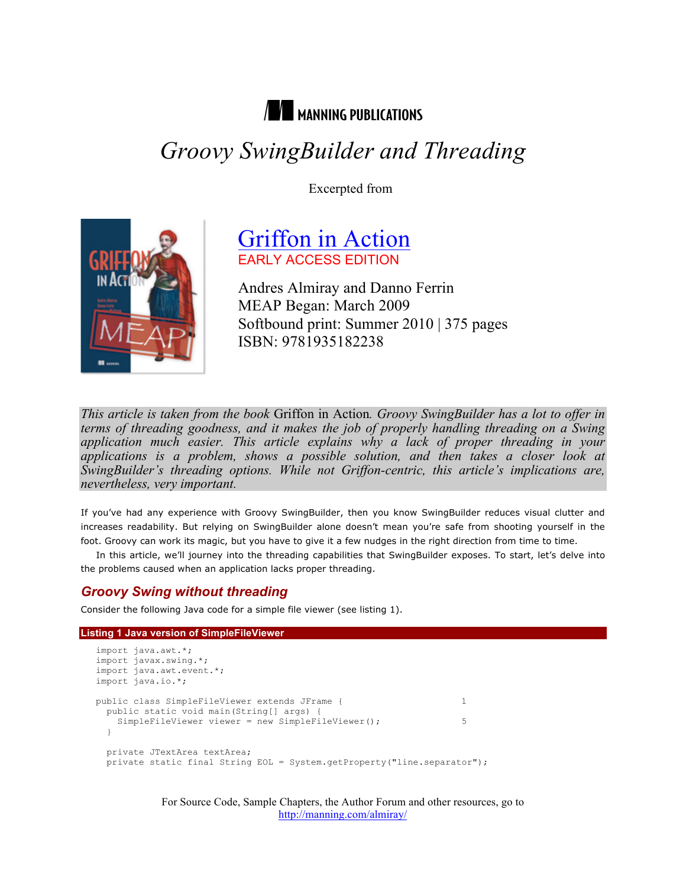

# *Groovy SwingBuilder and Threading*

Excerpted from



# Griffon in Action EARLY ACCESS EDITION

Andres Almiray and Danno Ferrin MEAP Began: March 2009 Softbound print: Summer 2010 | 375 pages ISBN: 9781935182238

*This article is taken from the book* Griffon in Action*. Groovy SwingBuilder has a lot to offer in terms of threading goodness, and it makes the job of properly handling threading on a Swing application much easier. This article explains why a lack of proper threading in your applications is a problem, shows a possible solution, and then takes a closer look at SwingBuilder's threading options. While not Griffon-centric, this article's implications are, nevertheless, very important.*

If you've had any experience with Groovy SwingBuilder, then you know SwingBuilder reduces visual clutter and increases readability. But relying on SwingBuilder alone doesn't mean you're safe from shooting yourself in the foot. Groovy can work its magic, but you have to give it a few nudges in the right direction from time to time.

In this article, we'll journey into the threading capabilities that SwingBuilder exposes. To start, let's delve into the problems caused when an application lacks proper threading.

# *Groovy Swing without threading*

Consider the following Java code for a simple file viewer (see listing 1).

#### **Listing 1 Java version of SimpleFileViewer**

```
import java.awt.*;
import javax.swing.*;
import java.awt.event.*;
import java.io.*;
public class SimpleFileViewer extends JFrame { 1
  public static void main(String[] args) {
   SimpleFileViewer viewer = new SimpleFileViewer(); 5
   }
  private JTextArea textArea;
  private static final String EOL = System.getProperty("line.separator");
```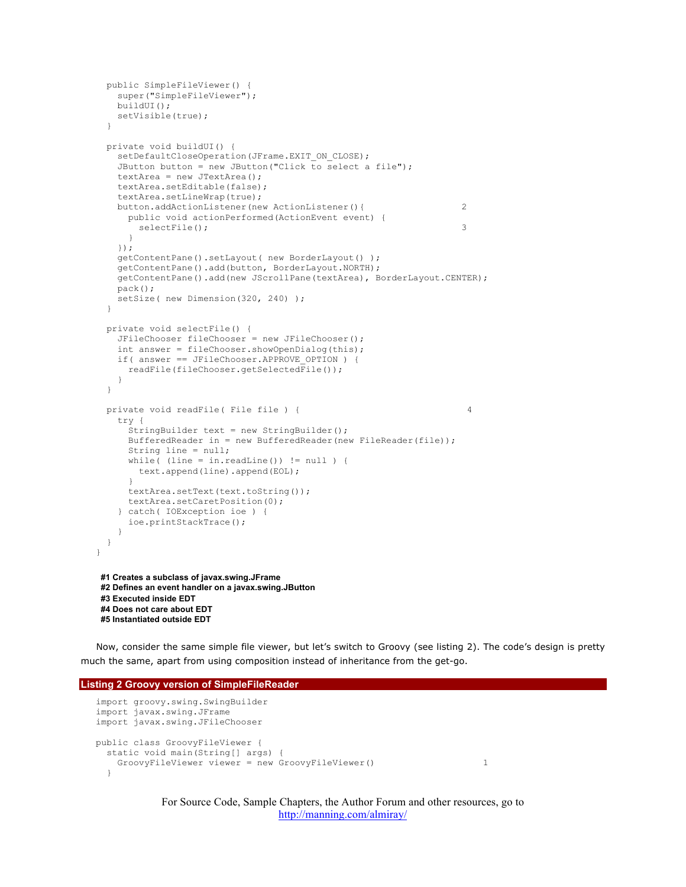```
 public SimpleFileViewer() {
    super("SimpleFileViewer");
    buildUI();
    setVisible(true);
   }
  private void buildUI() {
    setDefaultCloseOperation(JFrame.EXIT_ON_CLOSE);
    JButton button = new JButton("Click to select a file");
    textArea = new JTextArea();
     textArea.setEditable(false);
     textArea.setLineWrap(true);
     button.addActionListener(new ActionListener(){ 2
      public void actionPerformed(ActionEvent event) {
       selectFile(); 3
      }
     });
     getContentPane().setLayout( new BorderLayout() );
     getContentPane().add(button, BorderLayout.NORTH);
     getContentPane().add(new JScrollPane(textArea), BorderLayout.CENTER);
    pack();
   setSize( new Dimension(320, 240) );
   }
  private void selectFile() {
     JFileChooser fileChooser = new JFileChooser();
     int answer = fileChooser.showOpenDialog(this);
    if( answer == JFileChooser.APPROVE_OPTION ) {
      readFile(fileChooser.getSelectedFile());
     }
   }
 private void readFile( File file ) { 4
     try {
      StringBuilder text = new StringBuilder();
      BufferedReader in = new BufferedReader(new FileReader(file));
      String line = null;
     while( (line = in.readLine()) != null) {
        text.append(line).append(EOL);
 }
      textArea.setText(text.toString());
      textArea.setCaretPosition(0);
     } catch( IOException ioe ) {
      ioe.printStackTrace();
     }
  }
}
#1 Creates a subclass of javax.swing.JFrame
#2 Defines an event handler on a javax.swing.JButton
#3 Executed inside EDT
 #4 Does not care about EDT
#5 Instantiated outside EDT
```
Now, consider the same simple file viewer, but let's switch to Groovy (see listing 2). The code's design is pretty much the same, apart from using composition instead of inheritance from the get-go.

```
Listing 2 Groovy version of SimpleFileReader
```

```
import groovy.swing.SwingBuilder
import javax.swing.JFrame
import javax.swing.JFileChooser
public class GroovyFileViewer {
  static void main(String[] args) {
    GroovyFileViewer viewer = new GroovyFileViewer() 1
   }
```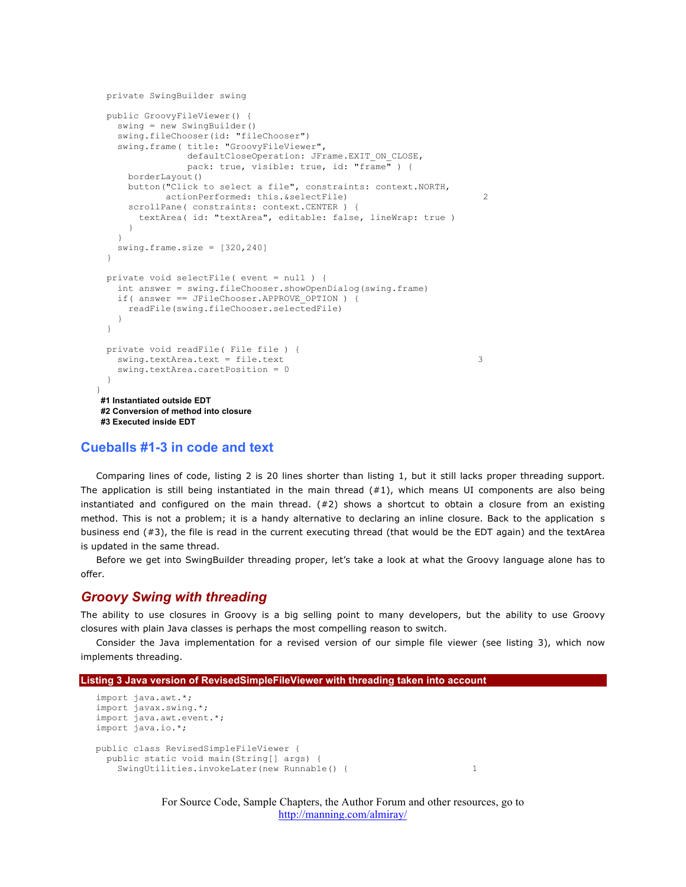```
 private SwingBuilder swing
  public GroovyFileViewer() {
    swing = new SwingBuilder()
    swing.fileChooser(id: "fileChooser")
    swing.frame( title: "GroovyFileViewer",
                defaultCloseOperation: JFrame.EXIT ON CLOSE,
                pack: true, visible: true, id: "frame") {
      borderLayout()
      button("Click to select a file", constraints: context.NORTH,
            actionPerformed: this. & selectFile) 2
      scrollPane( constraints: context.CENTER ) {
        textArea( id: "textArea", editable: false, lineWrap: true )
      }
    }
    swing.frame.size = [320,240]
  }
  private void selectFile( event = null ) {
    int answer = swing.fileChooser.showOpenDialog(swing.frame)
    if( answer == JFileChooser.APPROVE_OPTION ) {
      readFile(swing.fileChooser.selectedFile)
 }
  }
  private void readFile( File file ) {
   swing.textArea.text = file.text 3
    swing.textArea.caretPosition = 0
  }
}
#1 Instantiated outside EDT
#2 Conversion of method into closure
#3 Executed inside EDT
```
#### **Cueballs #1-3 in code and text**

Comparing lines of code, listing 2 is 20 lines shorter than listing 1, but it still lacks proper threading support. The application is still being instantiated in the main thread  $(#1)$ , which means UI components are also being instantiated and configured on the main thread.  $(#2)$  shows a shortcut to obtain a closure from an existing method. This is not a problem; it is a handy alternative to declaring an inline closure. Back to the application s business end (#3), the file is read in the current executing thread (that would be the EDT again) and the textArea is updated in the same thread.

Before we get into SwingBuilder threading proper, let's take a look at what the Groovy language alone has to offer.

### *Groovy Swing with threading*

The ability to use closures in Groovy is a big selling point to many developers, but the ability to use Groovy closures with plain Java classes is perhaps the most compelling reason to switch.

Consider the Java implementation for a revised version of our simple file viewer (see listing 3), which now implements threading.

```
Listing 3 Java version of RevisedSimpleFileViewer with threading taken into account
```

```
import java.awt.*;
import javax.swing.*;
import java.awt.event.*;
import java.io.*;
public class RevisedSimpleFileViewer {
  public static void main(String[] args) {
   SwingUtilities.invokeLater(new Runnable() { 1
```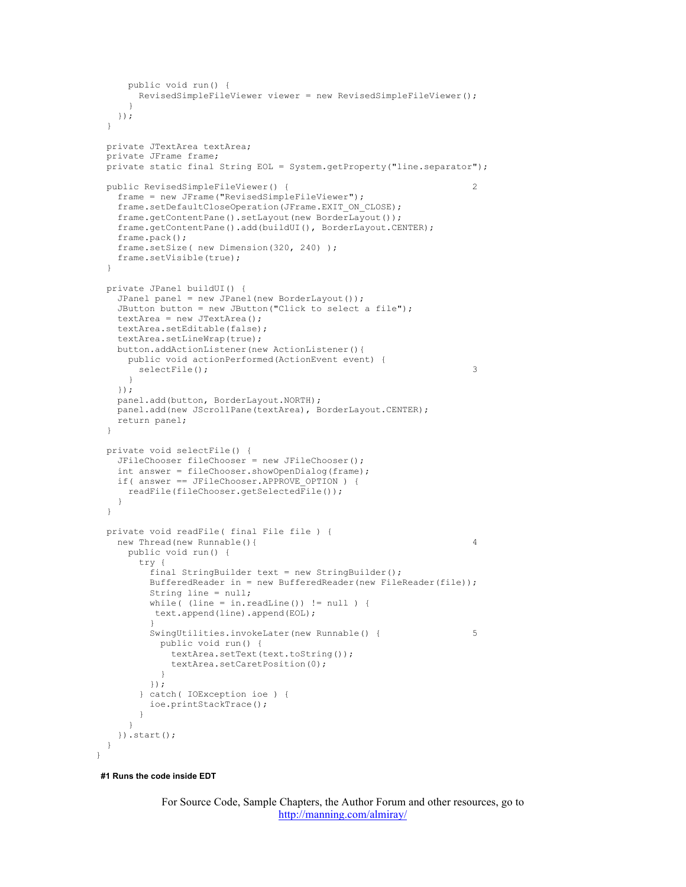```
 public void run() {
        RevisedSimpleFileViewer viewer = new RevisedSimpleFileViewer();
 }
    });
  }
  private JTextArea textArea;
  private JFrame frame;
  private static final String EOL = System.getProperty("line.separator");
  public RevisedSimpleFileViewer() { 2
    frame = new JFrame("RevisedSimpleFileViewer");
   frame.setDefaultCloseOperation(JFrame.EXIT_ON_CLOSE);
    frame.getContentPane().setLayout(new BorderLayout());
    frame.getContentPane().add(buildUI(), BorderLayout.CENTER);
    frame.pack();
    frame.setSize( new Dimension(320, 240) );
    frame.setVisible(true);
  }
  private JPanel buildUI() {
    JPanel panel = new JPanel(new BorderLayout());
    JButton button = new JButton("Click to select a file");
    textArea = new JTextArea();
    textArea.setEditable(false);
    textArea.setLineWrap(true);
    button.addActionListener(new ActionListener(){
      public void actionPerformed(ActionEvent event) {
       selectFile(); 3
      }
    });
    panel.add(button, BorderLayout.NORTH);
    panel.add(new JScrollPane(textArea), BorderLayout.CENTER);
    return panel;
  }
  private void selectFile() {
    JFileChooser fileChooser = new JFileChooser();
    int answer = fileChooser.showOpenDialog(frame);
    if( answer == JFileChooser.APPROVE_OPTION ) {
      readFile(fileChooser.getSelectedFile());
    }
  }
  private void readFile( final File file ) {
    new Thread(new Runnable(){ 4
      public void run() {
        try {
          final StringBuilder text = new StringBuilder();
          BufferedReader in = new BufferedReader(new FileReader(file));
          String line = null;
         while( (line = in.readLine()) != null) {
           text.append(line).append(EOL);
 }
         SwingUtilities.invokeLater(new Runnable() { 5
           public void run() {
              textArea.setText(text.toString());
              textArea.setCaretPosition(0);
 }
          });
        } catch( IOException ioe ) {
          ioe.printStackTrace();
        }
      }
    }).start();
  }
}
```
**#1 Runs the code inside EDT**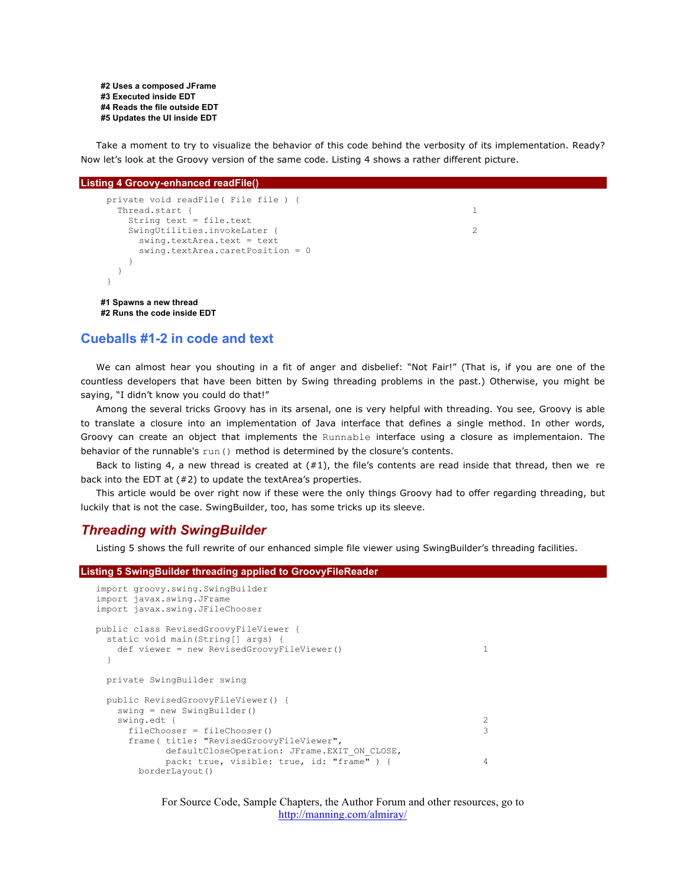**#2 Uses a composed JFrame #3 Executed inside EDT #4 Reads the file outside EDT #5 Updates the UI inside EDT**

Take a moment to try to visualize the behavior of this code behind the verbosity of its implementation. Ready? Now let's look at the Groovy version of the same code. Listing 4 shows a rather different picture.

#### **Listing 4 Groovy-enhanced readFile()**

```
 private void readFile( File file ) {
  Thread.start { 1
    String text = file.text
   SwingUtilities.invokeLater { 2
      swing.textArea.text = text
      swing.textArea.caretPosition = 0
    }
   }
 }
#1 Spawns a new thread
```
**#2 Runs the code inside EDT**

# **Cueballs #1-2 in code and text**

We can almost hear you shouting in a fit of anger and disbelief: "Not Fair!" (That is, if you are one of the countless developers that have been bitten by Swing threading problems in the past.) Otherwise, you might be saying, "I didn't know you could do that!"

Among the several tricks Groovy has in its arsenal, one is very helpful with threading. You see, Groovy is able to translate a closure into an implementation of Java interface that defines a single method. In other words, Groovy can create an object that implements the Runnable interface using a closure as implementaion. The behavior of the runnable's run() method is determined by the closure's contents.

Back to listing 4, a new thread is created at  $(#1)$ , the file's contents are read inside that thread, then we re back into the EDT at (#2) to update the textArea's properties.

This article would be over right now if these were the only things Groovy had to offer regarding threading, but luckily that is not the case. SwingBuilder, too, has some tricks up its sleeve.

# *Threading with SwingBuilder*

Listing 5 shows the full rewrite of our enhanced simple file viewer using SwingBuilder's threading facilities.

| <b>Listing 5 SwingBuilder threading applied to GroovyFileReader</b>                              |   |  |
|--------------------------------------------------------------------------------------------------|---|--|
| import groovy.swing.SwingBuilder<br>import javax.swing.JFrame<br>import javax.swing.JFileChooser |   |  |
| public class RevisedGroovyFileViewer {                                                           |   |  |
| static void main (String [] args) {<br>def viewer = new RevisedGroovyFileViewer()                |   |  |
|                                                                                                  |   |  |
| private SwingBuilder swing                                                                       |   |  |
| public RevisedGroovyFileViewer() {                                                               |   |  |
| $swing = new SwingBuilder()$                                                                     |   |  |
| swing.edt {                                                                                      |   |  |
| $fileChooser = fileChooser()$                                                                    | 3 |  |
| frame(title: "RevisedGroovyFileViewer",                                                          |   |  |
| defaultCloseOperation: JFrame.EXIT ON CLOSE,                                                     |   |  |
| pack: true, visible: true, id: "frame") {                                                        | 4 |  |
| borderLayout()                                                                                   |   |  |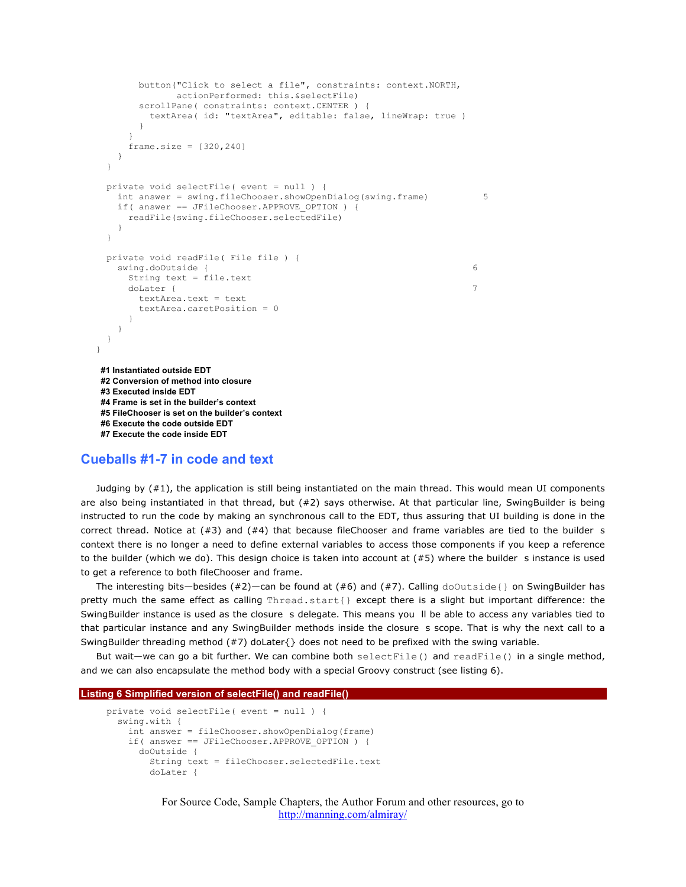```
 button("Click to select a file", constraints: context.NORTH,
                  actionPerformed: this.&selectFile)
         scrollPane( constraints: context.CENTER )
            textArea( id: "textArea", editable: false, lineWrap: true ) 
 }
 }
      frame.size = [320, 240] }
   }
   private void selectFile( event = null ) {
    int answer = swing.fileChooser.showOpenDialog(swing.frame) 5
     if( answer == JFileChooser.APPROVE_OPTION ) {
       readFile(swing.fileChooser.selectedFile)
 }
   }
   private void readFile( File file ) {
     swing.doOutside { 6
       String text = file.text
doLater { \sim 7 \sim 7 \sim 7 \sim 7 \sim 7 \sim 7 \sim 7 \sim 7 \sim 7 \sim 7 \sim 7 \sim 7 \sim 7 \sim 7 \sim 7 \sim 7 \sim 7 \sim 7 \sim 7 \sim 7 \sim 7 \sim 7 \sim 7 \sim 7 \sim 7 \sim 7 \sim 7 \sim 7 \sim 7 \sim 7 \ textArea.text = text
         textArea.caretPosition = 0
       }
     }
  }
}
#1 Instantiated outside EDT
#2 Conversion of method into closure
#3 Executed inside EDT
#4 Frame is set in the builder's context
#5 FileChooser is set on the builder's context
#6 Execute the code outside EDT
#7 Execute the code inside EDT
```
## **Cueballs #1-7 in code and text**

Judging by (#1), the application is still being instantiated on the main thread. This would mean UI components are also being instantiated in that thread, but (#2) says otherwise. At that particular line, SwingBuilder is being instructed to run the code by making an synchronous call to the EDT, thus assuring that UI building is done in the correct thread. Notice at  $(#3)$  and  $(*4)$  that because fileChooser and frame variables are tied to the builder s context there is no longer a need to define external variables to access those components if you keep a reference to the builder (which we do). This design choice is taken into account at  $(#5)$  where the builder s instance is used to get a reference to both fileChooser and frame.

The interesting bits—besides (#2)—can be found at (#6) and (#7). Calling  $d$ oOutside{} on SwingBuilder has pretty much the same effect as calling Thread.start{} except there is a slight but important difference: the SwingBuilder instance is used as the closure s delegate. This means you II be able to access any variables tied to that particular instance and any SwingBuilder methods inside the closure s scope. That is why the next call to a SwingBuilder threading method (#7) doLater{} does not need to be prefixed with the swing variable.

But wait—we can go a bit further. We can combine both  $selectFile()$  and  $readFile()$  in a single method, and we can also encapsulate the method body with a special Groovy construct (see listing 6).

#### **Listing 6 Simplified version of selectFile() and readFile()**

```
 private void selectFile( event = null ) {
   swing.with {
     int answer = fileChooser.showOpenDialog(frame)
     if( answer == JFileChooser.APPROVE_OPTION ) {
       doOutside {
         String text = fileChooser.selectedFile.text
         doLater {
```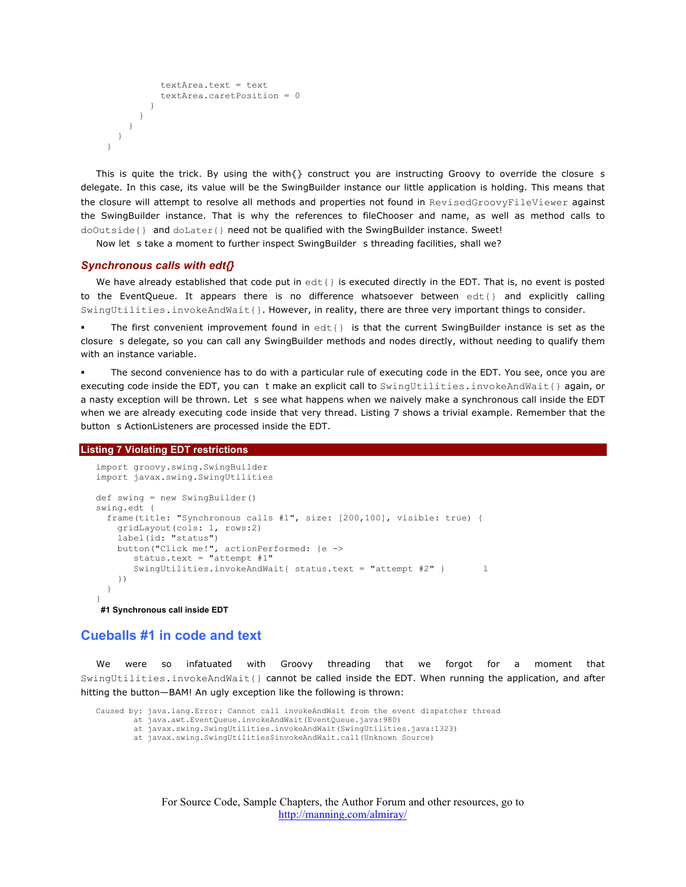```
 textArea.text = text
            textArea.caretPosition = 0
 }
       }
     }
    }
  }
```
This is quite the trick. By using the with $\{\}$  construct you are instructing Groovy to override the closure s delegate. In this case, its value will be the SwingBuilder instance our little application is holding. This means that the closure will attempt to resolve all methods and properties not found in RevisedGroovyFileViewer against the SwingBuilder instance. That is why the references to fileChooser and name, as well as method calls to doOutside{} and doLater{} need not be qualified with the SwingBuilder instance. Sweet!

Now let s take a moment to further inspect SwingBuilder s threading facilities, shall we?

#### *Synchronous calls with edt{}*

We have already established that code put in  $edt$  is executed directly in the EDT. That is, no event is posted to the EventQueue. It appears there is no difference whatsoever between edt{} and explicitly calling SwingUtilities.invokeAndWait{}. However, in reality, there are three very important things to consider.

The first convenient improvement found in  $edt$  is that the current SwingBuilder instance is set as the closure s delegate, so you can call any SwingBuilder methods and nodes directly, without needing to qualify them with an instance variable.

 The second convenience has to do with a particular rule of executing code in the EDT. You see, once you are executing code inside the EDT, you can t make an explicit call to SwingUtilities.invokeAndWait{} again, or a nasty exception will be thrown. Let s see what happens when we naively make a synchronous call inside the EDT when we are already executing code inside that very thread. Listing 7 shows a trivial example. Remember that the button s ActionListeners are processed inside the EDT.

#### **Listing 7 Violating EDT restrictions**

```
import groovy.swing.SwingBuilder
import javax.swing.SwingUtilities
def swing = new SwingBuilder()
swing.edt {
  frame(title: "Synchronous calls #1", size: [200,100], visible: true) {
     gridLayout(cols: 1, rows:2)
     label(id: "status")
     button("Click me!", actionPerformed: {e ->
        status.text = "attempt #1"
       SwingUtilities.invokeAndWait{ status.text = "attempt #2" } 1
     })
   }
}
#1 Synchronous call inside EDT
```
# **Cueballs #1 in code and text**

We were so infatuated with Groovy threading that we forgot for a moment that SwingUtilities.invokeAndWait{} cannot be called inside the EDT. When running the application, and after hitting the button—BAM! An ugly exception like the following is thrown:

```
Caused by: java.lang.Error: Cannot call invokeAndWait from the event dispatcher thread
         at java.awt.EventQueue.invokeAndWait(EventQueue.java:980)
         at javax.swing.SwingUtilities.invokeAndWait(SwingUtilities.java:1323)
         at javax.swing.SwingUtilities$invokeAndWait.call(Unknown Source)
```